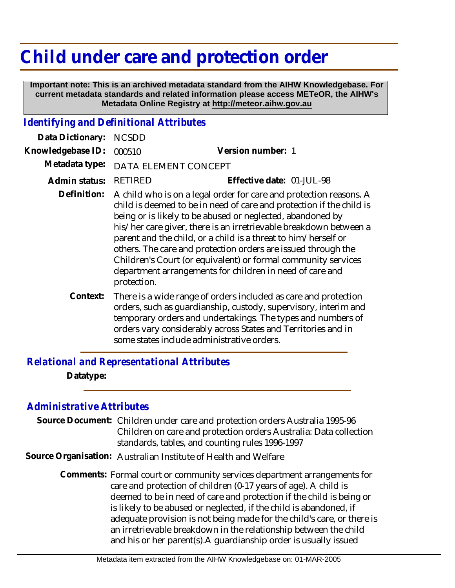## **Child under care and protection order**

 **Important note: This is an archived metadata standard from the AIHW Knowledgebase. For current metadata standards and related information please access METeOR, the AIHW's Metadata Online Registry at http://meteor.aihw.gov.au**

## *Identifying and Definitional Attributes*

| Data Dictionary:  | <b>NCSDD</b>                                                                                                                                                                                                                                                                                                                                                                                                                                                                                                                                                 |                           |
|-------------------|--------------------------------------------------------------------------------------------------------------------------------------------------------------------------------------------------------------------------------------------------------------------------------------------------------------------------------------------------------------------------------------------------------------------------------------------------------------------------------------------------------------------------------------------------------------|---------------------------|
| Knowledgebase ID: | 000510                                                                                                                                                                                                                                                                                                                                                                                                                                                                                                                                                       | Version number: 1         |
| Metadata type:    | DATA ELEMENT CONCEPT                                                                                                                                                                                                                                                                                                                                                                                                                                                                                                                                         |                           |
| Admin status:     | <b>RETIRED</b>                                                                                                                                                                                                                                                                                                                                                                                                                                                                                                                                               | Effective date: 01-JUL-98 |
| Definition:       | A child who is on a legal order for care and protection reasons. A<br>child is deemed to be in need of care and protection if the child is<br>being or is likely to be abused or neglected, abandoned by<br>his/her care giver, there is an irretrievable breakdown between a<br>parent and the child, or a child is a threat to him/herself or<br>others. The care and protection orders are issued through the<br>Children's Court (or equivalent) or formal community services<br>department arrangements for children in need of care and<br>protection. |                           |
| Context:          | There is a wide range of orders included as care and protection<br>orders, such as guardianship, custody, supervisory, interim and<br>temporary orders and undertakings. The types and numbers of<br>orders vary considerably across States and Territories and in                                                                                                                                                                                                                                                                                           |                           |

some states include administrative orders.

*Relational and Representational Attributes* **Datatype:**

## *Administrative Attributes*

Source Document: Children under care and protection orders Australia 1995-96 Children on care and protection orders Australia: Data collection standards, tables, and counting rules 1996-1997

**Source Organisation:** Australian Institute of Health and Welfare

Comments: Formal court or community services department arrangements for care and protection of children (0-17 years of age). A child is deemed to be in need of care and protection if the child is being or is likely to be abused or neglected, if the child is abandoned, if adequate provision is not being made for the child's care, or there is an irretrievable breakdown in the relationship between the child and his or her parent(s). A guardianship order is usually issued